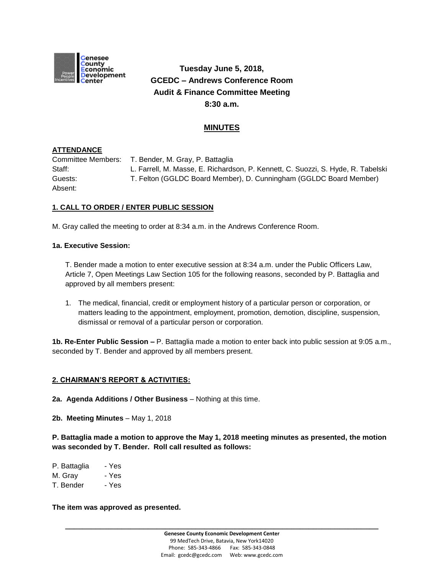

# **Tuesday June 5, 2018, GCEDC – Andrews Conference Room Audit & Finance Committee Meeting 8:30 a.m.**

# **MINUTES**

## **ATTENDANCE**

Committee Members: T. Bender, M. Gray, P. Battaglia Staff: L. Farrell, M. Masse, E. Richardson, P. Kennett, C. Suozzi, S. Hyde, R. Tabelski Guests: T. Felton (GGLDC Board Member), D. Cunningham (GGLDC Board Member) Absent:

## **1. CALL TO ORDER / ENTER PUBLIC SESSION**

M. Gray called the meeting to order at 8:34 a.m. in the Andrews Conference Room.

#### **1a. Executive Session:**

T. Bender made a motion to enter executive session at 8:34 a.m. under the Public Officers Law, Article 7, Open Meetings Law Section 105 for the following reasons, seconded by P. Battaglia and approved by all members present:

1. The medical, financial, credit or employment history of a particular person or corporation, or matters leading to the appointment, employment, promotion, demotion, discipline, suspension, dismissal or removal of a particular person or corporation.

**1b. Re-Enter Public Session –** P. Battaglia made a motion to enter back into public session at 9:05 a.m., seconded by T. Bender and approved by all members present.

### **2. CHAIRMAN'S REPORT & ACTIVITIES:**

**2a. Agenda Additions / Other Business** – Nothing at this time.

**2b. Meeting Minutes** – May 1, 2018

**P. Battaglia made a motion to approve the May 1, 2018 meeting minutes as presented, the motion was seconded by T. Bender. Roll call resulted as follows:**

- P. Battaglia Yes
- M. Gray Yes
- T. Bender Yes

**The item was approved as presented.**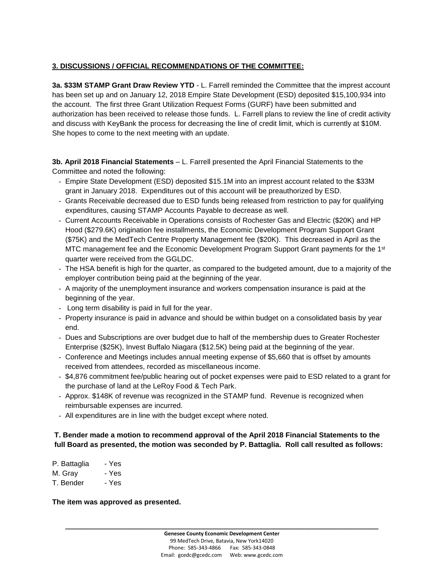# **3. DISCUSSIONS / OFFICIAL RECOMMENDATIONS OF THE COMMITTEE:**

**3a. \$33M STAMP Grant Draw Review YTD** - L. Farrell reminded the Committee that the imprest account has been set up and on January 12, 2018 Empire State Development (ESD) deposited \$15,100,934 into the account. The first three Grant Utilization Request Forms (GURF) have been submitted and authorization has been received to release those funds. L. Farrell plans to review the line of credit activity and discuss with KeyBank the process for decreasing the line of credit limit, which is currently at \$10M. She hopes to come to the next meeting with an update.

**3b. April 2018 Financial Statements** – L. Farrell presented the April Financial Statements to the Committee and noted the following:

- Empire State Development (ESD) deposited \$15.1M into an imprest account related to the \$33M grant in January 2018. Expenditures out of this account will be preauthorized by ESD.
- Grants Receivable decreased due to ESD funds being released from restriction to pay for qualifying expenditures, causing STAMP Accounts Payable to decrease as well.
- Current Accounts Receivable in Operations consists of Rochester Gas and Electric (\$20K) and HP Hood (\$279.6K) origination fee installments, the Economic Development Program Support Grant (\$75K) and the MedTech Centre Property Management fee (\$20K). This decreased in April as the MTC management fee and the Economic Development Program Support Grant payments for the 1<sup>st</sup> quarter were received from the GGLDC.
- The HSA benefit is high for the quarter, as compared to the budgeted amount, due to a majority of the employer contribution being paid at the beginning of the year.
- A majority of the unemployment insurance and workers compensation insurance is paid at the beginning of the year.
- Long term disability is paid in full for the year.
- Property insurance is paid in advance and should be within budget on a consolidated basis by year end.
- Dues and Subscriptions are over budget due to half of the membership dues to Greater Rochester Enterprise (\$25K), Invest Buffalo Niagara (\$12.5K) being paid at the beginning of the year.
- Conference and Meetings includes annual meeting expense of \$5,660 that is offset by amounts received from attendees, recorded as miscellaneous income.
- \$4,876 commitment fee/public hearing out of pocket expenses were paid to ESD related to a grant for the purchase of land at the LeRoy Food & Tech Park.
- Approx. \$148K of revenue was recognized in the STAMP fund. Revenue is recognized when reimbursable expenses are incurred.
- All expenditures are in line with the budget except where noted.

## **T. Bender made a motion to recommend approval of the April 2018 Financial Statements to the full Board as presented, the motion was seconded by P. Battaglia. Roll call resulted as follows:**

P. Battaglia - Yes M. Gray - Yes T. Bender - Yes

**The item was approved as presented.**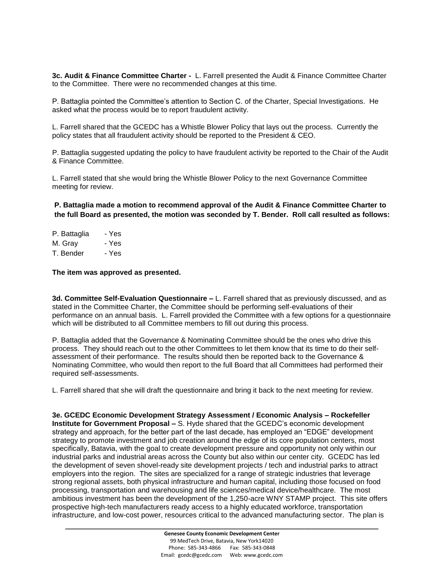**3c. Audit & Finance Committee Charter -** L. Farrell presented the Audit & Finance Committee Charter to the Committee. There were no recommended changes at this time.

P. Battaglia pointed the Committee's attention to Section C. of the Charter, Special Investigations. He asked what the process would be to report fraudulent activity.

L. Farrell shared that the GCEDC has a Whistle Blower Policy that lays out the process. Currently the policy states that all fraudulent activity should be reported to the President & CEO.

P. Battaglia suggested updating the policy to have fraudulent activity be reported to the Chair of the Audit & Finance Committee.

L. Farrell stated that she would bring the Whistle Blower Policy to the next Governance Committee meeting for review.

**P. Battaglia made a motion to recommend approval of the Audit & Finance Committee Charter to the full Board as presented, the motion was seconded by T. Bender. Roll call resulted as follows:**

P. Battaglia - Yes M. Gray - Yes T. Bender - Yes

**The item was approved as presented.**

**3d. Committee Self-Evaluation Questionnaire –** L. Farrell shared that as previously discussed, and as stated in the Committee Charter, the Committee should be performing self-evaluations of their performance on an annual basis. L. Farrell provided the Committee with a few options for a questionnaire which will be distributed to all Committee members to fill out during this process.

P. Battaglia added that the Governance & Nominating Committee should be the ones who drive this process. They should reach out to the other Committees to let them know that its time to do their selfassessment of their performance. The results should then be reported back to the Governance & Nominating Committee, who would then report to the full Board that all Committees had performed their required self-assessments.

L. Farrell shared that she will draft the questionnaire and bring it back to the next meeting for review.

**3e. GCEDC Economic Development Strategy Assessment / Economic Analysis – Rockefeller Institute for Government Proposal –** S. Hyde shared that the GCEDC's economic development strategy and approach, for the better part of the last decade, has employed an "EDGE" development strategy to promote investment and job creation around the edge of its core population centers, most specifically, Batavia, with the goal to create development pressure and opportunity not only within our industrial parks and industrial areas across the County but also within our center city. GCEDC has led the development of seven shovel-ready site development projects / tech and industrial parks to attract employers into the region. The sites are specialized for a range of strategic industries that leverage strong regional assets, both physical infrastructure and human capital, including those focused on food processing, transportation and warehousing and life sciences/medical device/healthcare. The most ambitious investment has been the development of the 1,250-acre WNY STAMP project. This site offers prospective high-tech manufacturers ready access to a highly educated workforce, transportation infrastructure, and low-cost power, resources critical to the advanced manufacturing sector. The plan is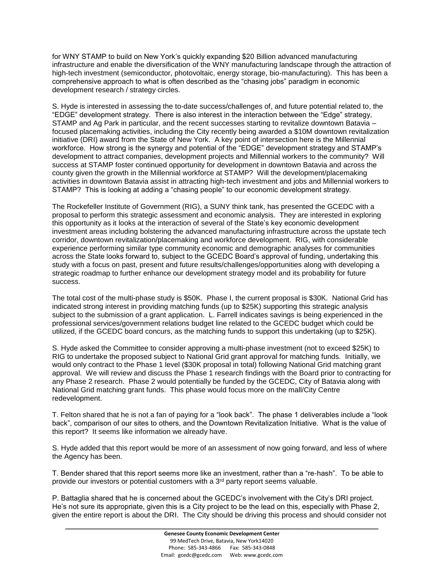for WNY STAMP to build on New York's quickly expanding \$20 Billion advanced manufacturing infrastructure and enable the diversification of the WNY manufacturing landscape through the attraction of high-tech investment (semiconductor, photovoltaic, energy storage, bio-manufacturing). This has been a comprehensive approach to what is often described as the "chasing jobs" paradigm in economic development research / strategy circles.

S. Hyde is interested in assessing the to-date success/challenges of, and future potential related to, the "EDGE" development strategy. There is also interest in the interaction between the "Edge" strategy, STAMP and Ag Park in particular, and the recent successes starting to revitalize downtown Batavia – focused placemaking activities, including the City recently being awarded a \$10M downtown revitalization initiative (DRI) award from the State of New York. A key point of intersection here is the Millennial workforce. How strong is the synergy and potential of the "EDGE" development strategy and STAMP's development to attract companies, development projects and Millennial workers to the community? Will success at STAMP foster continued opportunity for development in downtown Batavia and across the county given the growth in the Millennial workforce at STAMP? Will the development/placemaking activities in downtown Batavia assist in attracting high-tech investment and jobs and Millennial workers to STAMP? This is looking at adding a "chasing people" to our economic development strategy.

The Rockefeller Institute of Government (RIG), a SUNY think tank, has presented the GCEDC with a proposal to perform this strategic assessment and economic analysis. They are interested in exploring this opportunity as it looks at the interaction of several of the State's key economic development investment areas including bolstering the advanced manufacturing infrastructure across the upstate tech corridor, downtown revitalization/placemaking and workforce development. RIG, with considerable experience performing similar type community economic and demographic analyses for communities across the State looks forward to, subject to the GCEDC Board's approval of funding, undertaking this study with a focus on past, present and future results/challenges/opportunities along with developing a strategic roadmap to further enhance our development strategy model and its probability for future success.

The total cost of the multi-phase study is \$50K. Phase I, the current proposal is \$30K. National Grid has indicated strong interest in providing matching funds (up to \$25K) supporting this strategic analysis subject to the submission of a grant application. L. Farrell indicates savings is being experienced in the professional services/government relations budget line related to the GCEDC budget which could be utilized, if the GCEDC board concurs, as the matching funds to support this undertaking (up to \$25K).

S. Hyde asked the Committee to consider approving a multi-phase investment (not to exceed \$25K) to RIG to undertake the proposed subject to National Grid grant approval for matching funds. Initially, we would only contract to the Phase 1 level (\$30K proposal in total) following National Grid matching grant approval. We will review and discuss the Phase 1 research findings with the Board prior to contracting for any Phase 2 research. Phase 2 would potentially be funded by the GCEDC, City of Batavia along with National Grid matching grant funds. This phase would focus more on the mall/City Centre redevelopment.

T. Felton shared that he is not a fan of paying for a "look back". The phase 1 deliverables include a "look back", comparison of our sites to others, and the Downtown Revitalization Initiative. What is the value of this report? It seems like information we already have.

S. Hyde added that this report would be more of an assessment of now going forward, and less of where the Agency has been.

T. Bender shared that this report seems more like an investment, rather than a "re-hash". To be able to provide our investors or potential customers with a  $3<sup>rd</sup>$  party report seems valuable.

P. Battaglia shared that he is concerned about the GCEDC's involvement with the City's DRI project. He's not sure its appropriate, given this is a City project to be the lead on this, especially with Phase 2, given the entire report is about the DRI. The City should be driving this process and should consider not